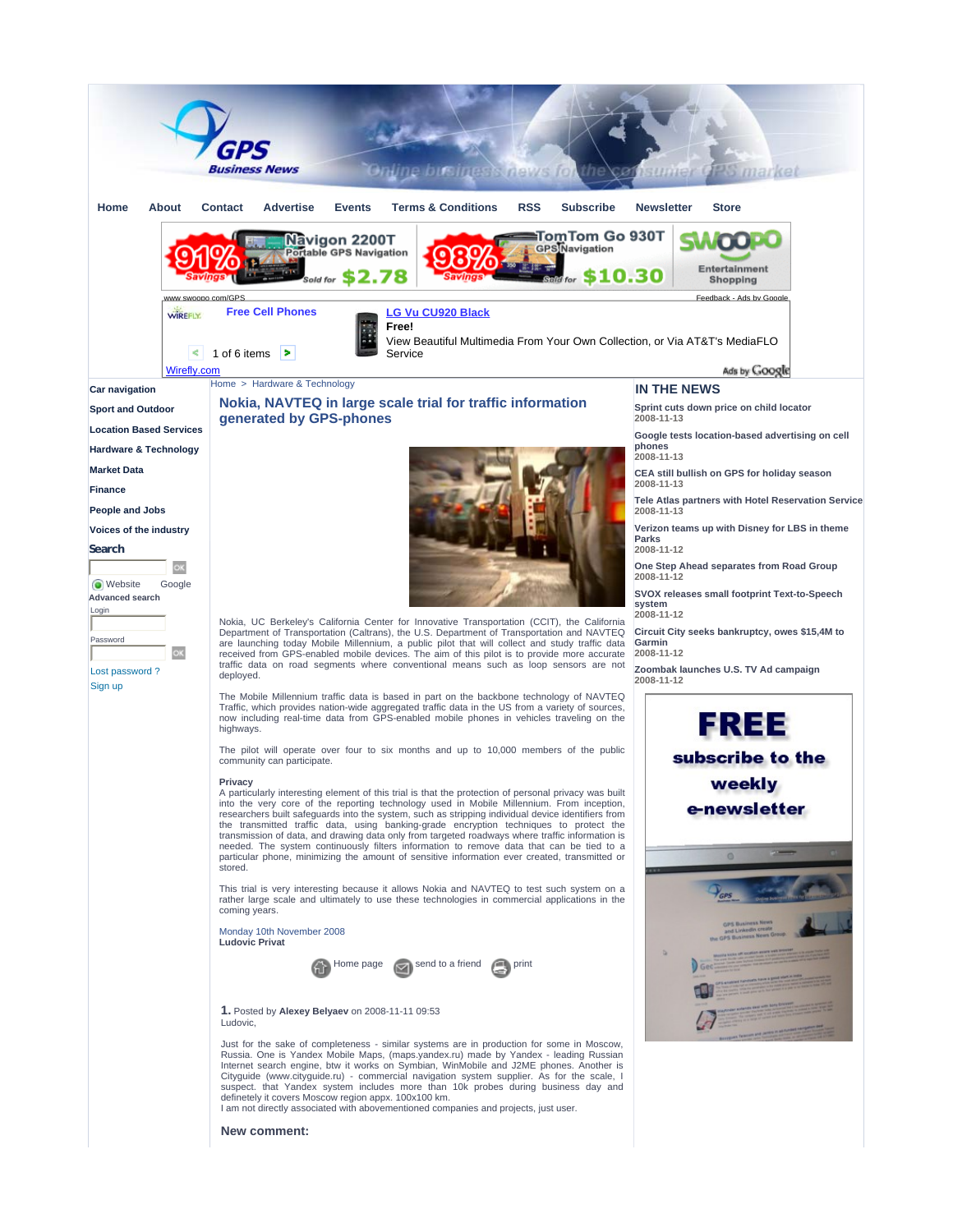